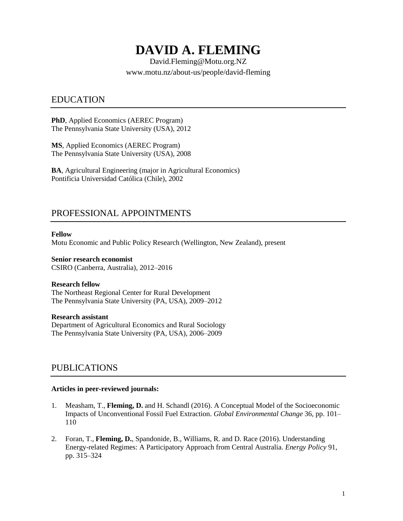# **DAVID A. FLEMING**

David.Fleming@Motu.org.NZ www.motu.nz/about-us/people/david-fleming

### EDUCATION

**PhD**, Applied Economics (AEREC Program) The Pennsylvania State University (USA), 2012

**MS**, Applied Economics (AEREC Program) The Pennsylvania State University (USA), 2008

**BA**, Agricultural Engineering (major in Agricultural Economics) Pontificia Universidad Católica (Chile), 2002

# PROFESSIONAL APPOINTMENTS

#### **Fellow**

Motu Economic and Public Policy Research (Wellington, New Zealand), present

#### **Senior research economist** CSIRO (Canberra, Australia), 2012–2016

#### **Research fellow**

The Northeast Regional Center for Rural Development The Pennsylvania State University (PA, USA), 2009–2012

#### **Research assistant**

Department of Agricultural Economics and Rural Sociology The Pennsylvania State University (PA, USA), 2006–2009

### PUBLICATIONS

### **Articles in peer-reviewed journals:**

- 1. Measham, T., **Fleming, D.** and H. Schandl (2016). A Conceptual Model of the Socioeconomic Impacts of Unconventional Fossil Fuel Extraction. *Global Environmental Change* 36*,* pp. 101– 110
- 2. Foran, T., **Fleming, D.**, Spandonide, B., Williams, R. and D. Race (2016). Understanding Energy-related Regimes: A Participatory Approach from Central Australia. *Energy Policy* 91, pp. 315–324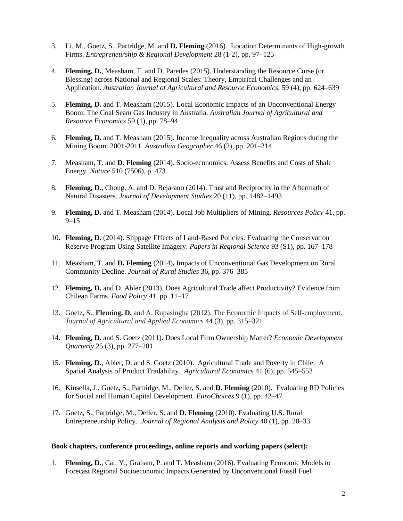- 3. Li, M., Goetz, S., Partridge, M. and **D. Fleming** (2016). Location Determinants of High-growth Firms. *Entrepreneurship & Regional Development* 28 (1-2), pp. 97–125
- 4. **Fleming, D.**, Measham, T. and D. Paredes (2015). Understanding the Resource Curse (or Blessing) across National and Regional Scales: Theory, Empirical Challenges and an Application. *Australian Journal of Agricultural and Resource Economics,* 59 (4), pp. 624–639
- 5. **Fleming, D.** and T. Measham (2015). Local Economic Impacts of an Unconventional Energy Boom: The Coal Seam Gas Industry in Australia. *Australian Journal of Agricultural and Resource Economics* 59 (1), pp. 78–94
- 6. **Fleming, D.** and T. Measham (2015). Income Inequality across Australian Regions during the Mining Boom: 2001-2011. *Australian Geographer* 46 (2), pp. 201–214
- 7. Measham, T. and **D. Fleming** (2014). Socio-economics: Assess Benefits and Costs of Shale Energy. *Nature* 510 (7506), p. 473
- 8. **Fleming, D.**, Chong, A. and D. Bejarano (2014). Trust and Reciprocity in the Aftermath of Natural Disasters. *Journal of Development Studies* 20 (11), pp. 1482–1493
- 9. **Fleming, D.** and T. Measham (2014). Local Job Multipliers of Mining. *Resources Policy* 41, pp. 9–15
- 10. **Fleming, D.** (2014). Slippage Effects of Land‐[Based Policies: Evaluating the Conservation](http://scholar.google.com/citations?view_op=view_citation&hl=en&user=-OWQUbIAAAAJ&sortby=pubdate&citation_for_view=-OWQUbIAAAAJ:hqOjcs7Dif8C)  [Reserve Program Using Satellite Imagery.](http://scholar.google.com/citations?view_op=view_citation&hl=en&user=-OWQUbIAAAAJ&sortby=pubdate&citation_for_view=-OWQUbIAAAAJ:hqOjcs7Dif8C) *Papers in Regional Science* 93 (S1), pp. 167–178
- 11. Measham, T. and **D. Fleming** (2014)**.** Impacts of Unconventional Gas Development on Rural Community Decline. *Journal of Rural Studies* 36, pp. 376–385
- 12. **Fleming, D.** and D. Abler (2013). Does Agricultural Trade affect Productivity? Evidence from Chilean Farms. *Food Policy* 41, pp. 11–17
- 13. Goetz, S., **Fleming, D.** and A. Rupasingha (2012). The Economic Impacts of Self-employment. *Journal of Agricultural and Applied Economics* 44 (3), pp. 315–321
- 14. **Fleming, D.** and S. Goetz (2011). Does Local Firm Ownership Matter? *Economic Development Quarterly* 25 (3), pp. 277–281
- 15. **Fleming, D.**, Abler, D. and S. Goetz (2010). Agricultural Trade and Poverty in Chile: A Spatial Analysis of Product Tradability. *Agricultural Economics* 41 (6), pp. 545–553
- 16. Kinsella, J., Goetz, S., Partridge, M., Deller, S. and **D. Fleming** (2010). Evaluating RD Policies for Social and Human Capital Development. *EuroChoices* 9 (1), pp. 42–47
- 17. Goetz, S., Partridge, M., Deller, S. and **D. Fleming** (2010). Evaluating U.S. Rural Entrepreneurship Policy. *Journal of Regional Analysis and Policy* 40 (1), pp. 20–33

#### **Book chapters, conference proceedings, online reports and working papers (select):**

1. **Fleming, D.**, Cai, Y., Graham, P. and T. Measham (2016). Evaluating Economic Models to Forecast Regional Socioeconomic Impacts Generated by Unconventional Fossil Fuel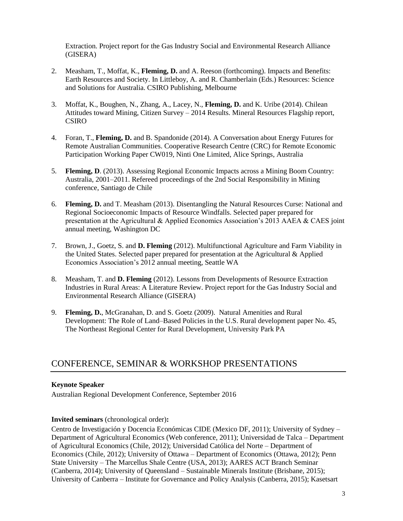Extraction. Project report for the Gas Industry Social and Environmental Research Alliance (GISERA)

- 2. Measham, T., Moffat, K., **Fleming, D.** and A. Reeson (forthcoming). Impacts and Benefits: Earth Resources and Society. In Littleboy, A. and R. Chamberlain (Eds.) Resources: Science and Solutions for Australia. CSIRO Publishing, Melbourne
- 3. Moffat, K., Boughen, N., Zhang, A., Lacey, N., **Fleming, D.** and K. Uribe (2014). Chilean Attitudes toward Mining, Citizen Survey – 2014 Results. Mineral Resources Flagship report, CSIRO
- 4. Foran, T., **Fleming, D.** and B. Spandonide (2014). A Conversation about Energy Futures for Remote Australian Communities. Cooperative Research Centre (CRC) for Remote Economic Participation Working Paper CW019, Ninti One Limited, Alice Springs, Australia
- 5. **Fleming, D**. (2013). Assessing Regional Economic Impacts across a Mining Boom Country: Australia, 2001–2011. Refereed proceedings of the 2nd Social Responsibility in Mining conference, Santiago de Chile
- 6. **Fleming, D.** and T. Measham (2013). Disentangling the Natural Resources Curse: National and Regional Socioeconomic Impacts of Resource Windfalls. Selected paper prepared for presentation at the Agricultural & Applied Economics Association's 2013 AAEA & CAES joint annual meeting, Washington DC
- 7. Brown, J., Goetz, S. and **D. Fleming** (2012). Multifunctional Agriculture and Farm Viability in the United States. Selected paper prepared for presentation at the Agricultural & Applied Economics Association's 2012 annual meeting, Seattle WA
- 8. Measham, T. and **D. Fleming** (2012). Lessons from Developments of Resource Extraction Industries in Rural Areas: A Literature Review. Project report for the Gas Industry Social and Environmental Research Alliance (GISERA)
- 9. **Fleming, D.**, McGranahan, D. and S. Goetz (2009). Natural Amenities and Rural Development: The Role of Land–Based Policies in the U.S. Rural development paper No. 45, The Northeast Regional Center for Rural Development, University Park PA

# CONFERENCE, SEMINAR & WORKSHOP PRESENTATIONS

### **Keynote Speaker**

Australian Regional Development Conference, September 2016

### **Invited seminars** (chronological order)**:**

Centro de Investigación y Docencia Económicas CIDE (Mexico DF, 2011); University of Sydney – Department of Agricultural Economics (Web conference, 2011); Universidad de Talca – Department of Agricultural Economics (Chile, 2012); Universidad Católica del Norte – Department of Economics (Chile, 2012); University of Ottawa – Department of Economics (Ottawa, 2012); Penn State University – The Marcellus Shale Centre (USA, 2013); AARES ACT Branch Seminar (Canberra, 2014); University of Queensland – Sustainable Minerals Institute (Brisbane, 2015); University of Canberra – Institute for Governance and Policy Analysis (Canberra, 2015); Kasetsart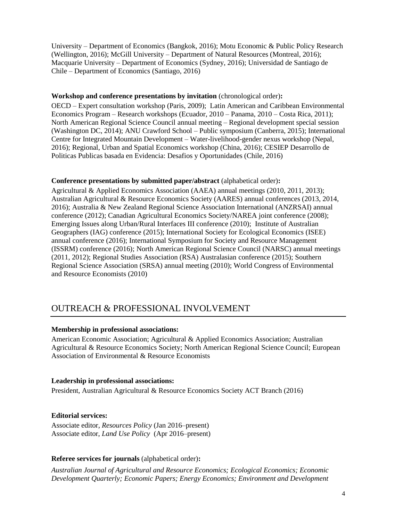University – Department of Economics (Bangkok, 2016); Motu Economic & Public Policy Research (Wellington, 2016); McGill University – Department of Natural Resources (Montreal, 2016); Macquarie University – Department of Economics (Sydney, 2016); Universidad de Santiago de Chile – Department of Economics (Santiago, 2016)

### **Workshop and conference presentations by invitation** (chronological order)**:**

OECD – Expert consultation workshop (Paris, 2009); Latin American and Caribbean Environmental Economics Program – Research workshops (Ecuador, 2010 – Panama, 2010 – Costa Rica, 2011); North American Regional Science Council annual meeting – Regional development special session (Washington DC, 2014); ANU Crawford School – Public symposium (Canberra, 2015); International Centre for Integrated Mountain Development – Water-livelihood-gender nexus workshop (Nepal, 2016); Regional, Urban and Spatial Economics workshop (China, 2016); CESIEP Desarrollo de Politicas Publicas basada en Evidencia: Desafios y Oportunidades (Chile, 2016)

#### **Conference presentations by submitted paper/abstract** (alphabetical order)**:**

Agricultural & Applied Economics Association (AAEA) annual meetings (2010, 2011, 2013); Australian Agricultural & Resource Economics Society (AARES) annual conferences (2013, 2014, 2016); Australia & New Zealand Regional Science Association International (ANZRSAI) annual conference (2012); Canadian Agricultural Economics Society/NAREA joint conference (2008); Emerging Issues along Urban/Rural Interfaces III conference (2010); Institute of Australian Geographers (IAG) conference (2015); International Society for Ecological Economics (ISEE) annual conference (2016); International Symposium for Society and Resource Management (ISSRM) conference (2016); North American Regional Science Council (NARSC) annual meetings (2011, 2012); Regional Studies Association (RSA) Australasian conference (2015); Southern Regional Science Association (SRSA) annual meeting (2010); World Congress of Environmental and Resource Economists (2010)

# OUTREACH & PROFESSIONAL INVOLVEMENT

### **Membership in professional associations:**

American Economic Association; Agricultural & Applied Economics Association; Australian Agricultural & Resource Economics Society; North American Regional Science Council; European Association of Environmental & Resource Economists

### **Leadership in professional associations:**

President, Australian Agricultural & Resource Economics Society ACT Branch (2016)

### **Editorial services:**

Associate editor, *Resources Policy* (Jan 2016–present) Associate editor, *Land Use Policy* (Apr 2016–present)

### **Referee services for journals** (alphabetical order)**:**

*Australian Journal of Agricultural and Resource Economics; Ecological Economics; Economic Development Quarterly; Economic Papers; Energy Economics; Environment and Development*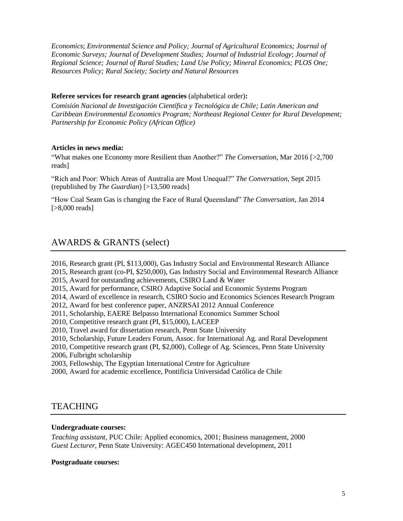*Economics*; *Environmental Science and Policy; Journal of Agricultural Economics; Journal of Economic Surveys; Journal of Development Studies; Journal of Industrial Ecology*; *Journal of Regional Science; Journal of Rural Studies; Land Use Policy; Mineral Economics; PLOS One; Resources Policy; Rural Society; Society and Natural Resources*

### **Referee services for research grant agencies** (alphabetical order)**:**

*Comisión Nacional de Investigación Científica y Tecnológica de Chile; Latin American and Caribbean Environmental Economics Program; Northeast Regional Center for Rural Development; Partnership for Economic Policy (African Office)*

### **Articles in news media:**

"What makes one Economy more Resilient than Another?" *The Conversation*, Mar 2016 [>2,700 reads]

"Rich and Poor: Which Areas of Australia are Most Unequal?" *The Conversation*, Sept 2015 (republished by *The Guardian*) [>13,500 reads]

"How Coal Seam Gas is changing the Face of Rural Queensland" *The Conversation*, Jan 2014 [>8,000 reads]

# AWARDS & GRANTS (select)

- 2016, Research grant (PI, \$113,000), Gas Industry Social and Environmental Research Alliance
- 2015, Research grant (co-PI, \$250,000), Gas Industry Social and Environmental Research Alliance
- 2015, Award for outstanding achievements, CSIRO Land & Water
- 2015, Award for performance, CSIRO Adaptive Social and Economic Systems Program
- 2014, Award of excellence in research, CSIRO Socio and Economics Sciences Research Program
- 2012, Award for best conference paper, ANZRSAI 2012 Annual Conference
- 2011, Scholarship, EAERE Belpasso International Economics Summer School
- 2010, Competitive research grant (PI, \$15,000), LACEEP
- 2010, Travel award for dissertation research, Penn State University
- 2010, Scholarship, Future Leaders Forum, Assoc. for International Ag. and Rural Development
- 2010, Competitive research grant (PI, \$2,000), [College of Ag.](http://international.cas.psu.edu/) [Sciences,](http://international.cas.psu.edu/) Penn State University
- 2006, Fulbright scholarship
- 2003, Fellowship, The Egyptian International Centre for Agriculture
- 2000, Award for academic excellence, Pontificia Universidad Católica de Chile

### **TEACHING**

### **Undergraduate courses:**

*Teaching assistant*, PUC Chile: Applied economics, 2001; Business management, 2000 *Guest Lecturer*, Penn State University: AGEC450 International development, 2011

### **Postgraduate courses:**